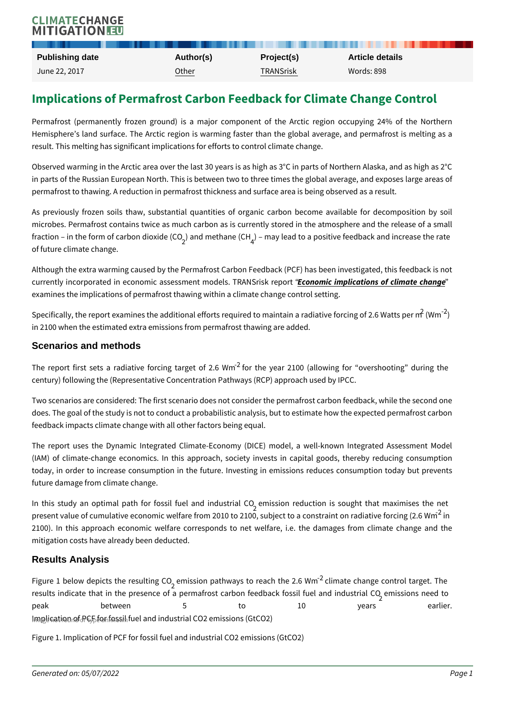# Implications of Permafrost Carbon Feedback for Clir

Permafrost (permanently frozen ground) is a major component of the Arcti Hemisphere s land surface. The Arctic region is warming faster than the glot result. This melting has significant implications for efforts to control climate cl

Observed warming in the Arctic area over the last 30 years is as high as  $3^{\circ}$ C in in parts of the Russian European North. This is between two to three times the permafrost to thawing. A reduction in permafrost thickness and surface area is

As previously frozen soils thaw, substantial quantities of organic carbon b microbes. Permafrost contains twice as much carbon as is currently stored in fraction in the form of carabon diecthing (CO2O) lead to a positive feedback and in of future climate change.

Although the extra warming caused by the Permafrost Carbon Feedback (PCF) has currently incorporated in economic assessm**e**nt moordinels implicant Scrinssk of ephinmate examines the implications of permafrost thawing within a climate change contro

Specifically, the report examines the additional efforts required  $t \delta$  (Ww $\vec{a}$  intain a radiative  $\vec{a}$ in 2100 when the estimated extra emissions from permafrost thawing are added.

#### Scenarios and methods

The report first sets a radiative  $\frac{2}{3}$  foorcinique target 2010  $\Omega$  6 all Wom ing for overshoot century) following the (Representative Concentration Pathways (RCP) approach

Two scenarios are considered: The first scenario does not consider the permafr does. The goal of the study is not to conduct a probabilistic analysis, but to es feedback impacts climate change with all other factors being equal.

The report uses the Dynamic Integrated Climate-Economy (DICE) model, a (IAM) of climate-change economics. In this approach, society invests in capital goods, thereby reducing consumption  $cap$ today, in order to increase consumption in the future. Investing in emissions future damage from climate change.

In this study an optimal path for fosesmilis found ane duch dours trisals cO uoght that maxi present value of cumulative economic welfare from 2010 to 2100, subject to a c 2100). In this approach economic welfare corresponds to net welfare, i.e. mitigation costs have already been deducted.

#### Results Analysis

Figure 1 below depicts  $_2$  tehme isresionantipagth. Ow Qays to re $\widehat{\mathcal{C}}$  arch the 2.6 angle control targe results indicate that in the presence of a permafrost carbon feedback fossil fuel and industrial CO 2 emissions need to peak between 5 to 10 years between 5 to 10 years earlier. The to 10 years earlier. The to 10 years earlier. The to Imapulication not PCF efork fossil fuel and industrial CO2 emissions (GtCO2) Figure 1. Implication of PCF for fossil fuel and industrial CO2 emissions (GtCO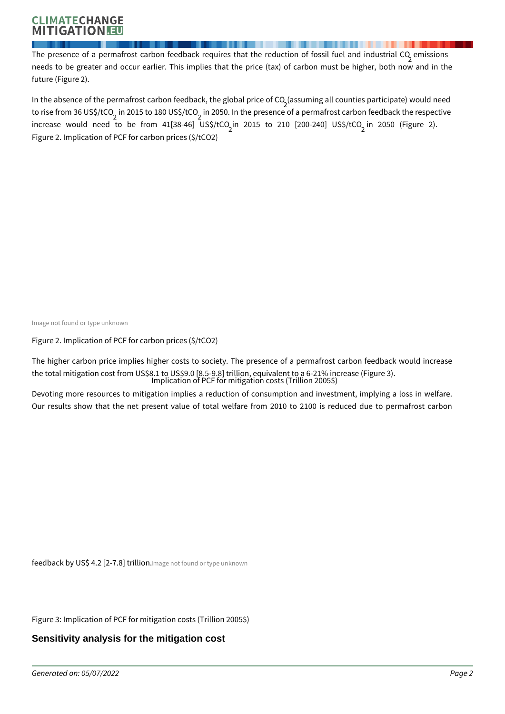## **CLIMATECHANGE** TIGATION!

The presence of a permafrost carbon feedback requires that the reduction of fossil fuel and industrial CO<sub>2</sub> emissions needs to be greater and occur earlier. This implies that the price (tax) of carbon must be higher, both now and in the future (Figure 2).

In the absence of the permafrost carbon feedback, the global price of CO  $_2$ (assuming all counties participate) would need to rise from 36 US\$/tCO<sub>2</sub> in 2015 to 180 US\$/tCO<sub>2</sub> in 2050. In the presence of a permafrost carbon feedback the respective increase would need to be from 41[38-46] US\$/tCO<sub>2</sub>in 2015 to 210 [200-240] US\$/tCO<sub>2</sub> in 2050 (Figure 2). Figure 2. Implication of PCF for carbon prices (\$/tCO2)

Image not found or type unknown

Figure 2. Implication of PCF for carbon prices (\$/tCO2)

The higher carbon price implies higher costs to society. The presence of a permafrost carbon feedback would increase the total mitigation cost from US\$8.1 to US\$9.0 [8.5-9.8] trillion, equivalent to a 6-21% increase (Figure 3). Implication of PCF for mitigation costs (Trillion 2005\$)

Devoting more resources to mitigation implies a reduction of consumption and investment, implying a loss in welfare. Our results show that the net present value of total welfare from 2010 to 2100 is reduced due to permafrost carbon

feedback by US\$ 4.2 [2-7.8] trillion. Image not found or type unknown

Figure 3: Implication of PCF for mitigation costs (Trillion 2005\$)

### **Sensitivity analysis for the mitigation cost**